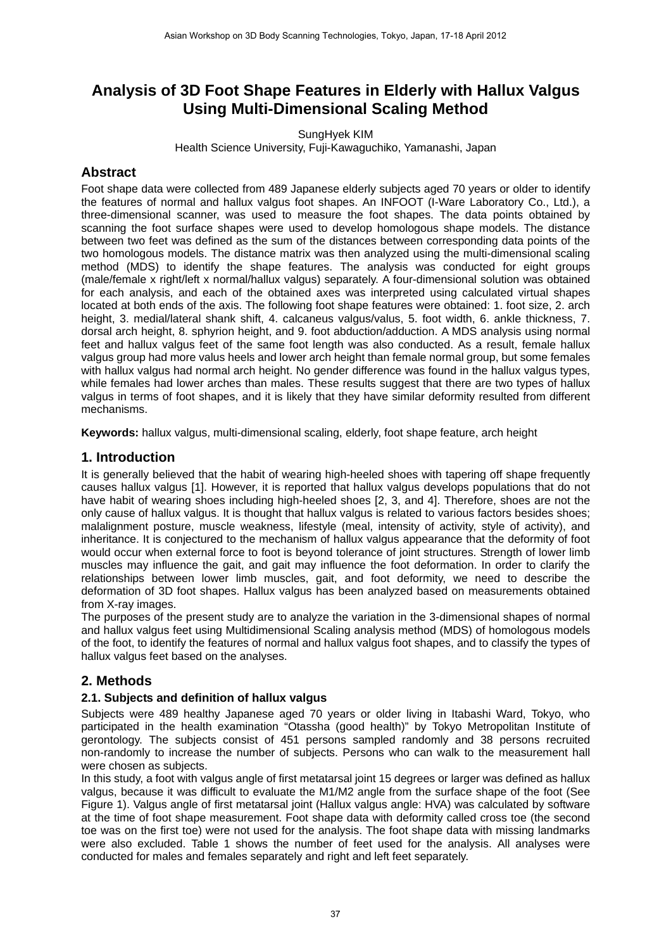# **Analysis of 3D Foot Shape Features in Elderly with Hallux Valgus Using Multi-Dimensional Scaling Method**

SungHyek KIM

Health Science University, Fuji-Kawaguchiko, Yamanashi, Japan

# **Abstract**

Foot shape data were collected from 489 Japanese elderly subjects aged 70 years or older to identify the features of normal and hallux valgus foot shapes. An INFOOT (I-Ware Laboratory Co., Ltd.), a three-dimensional scanner, was used to measure the foot shapes. The data points obtained by scanning the foot surface shapes were used to develop homologous shape models. The distance between two feet was defined as the sum of the distances between corresponding data points of the two homologous models. The distance matrix was then analyzed using the multi-dimensional scaling method (MDS) to identify the shape features. The analysis was conducted for eight groups (male/female x right/left x normal/hallux valgus) separately. A four-dimensional solution was obtained for each analysis, and each of the obtained axes was interpreted using calculated virtual shapes located at both ends of the axis. The following foot shape features were obtained: 1. foot size, 2. arch height, 3. medial/lateral shank shift, 4. calcaneus valgus/valus, 5. foot width, 6. ankle thickness, 7. dorsal arch height, 8. sphyrion height, and 9. foot abduction/adduction. A MDS analysis using normal feet and hallux valgus feet of the same foot length was also conducted. As a result, female hallux valgus group had more valus heels and lower arch height than female normal group, but some females with hallux valgus had normal arch height. No gender difference was found in the hallux valgus types, while females had lower arches than males. These results suggest that there are two types of hallux valgus in terms of foot shapes, and it is likely that they have similar deformity resulted from different mechanisms.

**Keywords:** hallux valgus, multi-dimensional scaling, elderly, foot shape feature, arch height

## **1. Introduction**

It is generally believed that the habit of wearing high-heeled shoes with tapering off shape frequently causes hallux valgus [1]. However, it is reported that hallux valgus develops populations that do not have habit of wearing shoes including high-heeled shoes [2, 3, and 4]. Therefore, shoes are not the only cause of hallux valgus. It is thought that hallux valgus is related to various factors besides shoes; malalignment posture, muscle weakness, lifestyle (meal, intensity of activity, style of activity), and inheritance. It is conjectured to the mechanism of hallux valgus appearance that the deformity of foot would occur when external force to foot is beyond tolerance of joint structures. Strength of lower limb muscles may influence the gait, and gait may influence the foot deformation. In order to clarify the relationships between lower limb muscles, gait, and foot deformity, we need to describe the deformation of 3D foot shapes. Hallux valgus has been analyzed based on measurements obtained from X-ray images.

The purposes of the present study are to analyze the variation in the 3-dimensional shapes of normal and hallux valgus feet using Multidimensional Scaling analysis method (MDS) of homologous models of the foot, to identify the features of normal and hallux valgus foot shapes, and to classify the types of hallux valgus feet based on the analyses.

# **2. Methods**

## **2.1. Subjects and definition of hallux valgus**

Subjects were 489 healthy Japanese aged 70 years or older living in Itabashi Ward, Tokyo, who participated in the health examination "Otassha (good health)" by Tokyo Metropolitan Institute of gerontology. The subjects consist of 451 persons sampled randomly and 38 persons recruited non-randomly to increase the number of subjects. Persons who can walk to the measurement hall were chosen as subjects.

In this study, a foot with valgus angle of first metatarsal joint 15 degrees or larger was defined as hallux valgus, because it was difficult to evaluate the M1/M2 angle from the surface shape of the foot (See Figure 1). Valgus angle of first metatarsal joint (Hallux valgus angle: HVA) was calculated by software at the time of foot shape measurement. Foot shape data with deformity called cross toe (the second toe was on the first toe) were not used for the analysis. The foot shape data with missing landmarks were also excluded. Table 1 shows the number of feet used for the analysis. All analyses were conducted for males and females separately and right and left feet separately.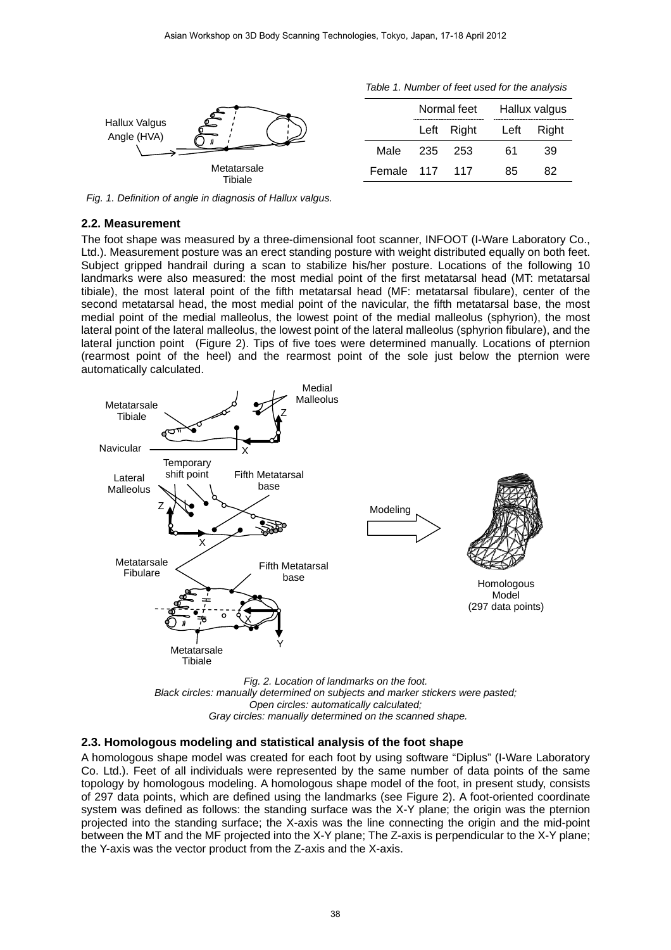*Table 1. Number of feet used for the analysis* 

| Hallux Valgus<br>Angle (HVA) |                | Normal feet |            | Hallux valgus |       |
|------------------------------|----------------|-------------|------------|---------------|-------|
|                              |                |             | Left Right | Left          | Right |
|                              | Male           |             | 235 253    | 61            | 39    |
| Metatarsale<br>Tibiale       | Female 117 117 |             |            | 85            | 82    |
|                              |                |             |            |               |       |

 *Fig. 1. Definition of angle in diagnosis of Hallux valgus.* 

#### **2.2. Measurement**

The foot shape was measured by a three-dimensional foot scanner, INFOOT (I-Ware Laboratory Co., Ltd.). Measurement posture was an erect standing posture with weight distributed equally on both feet. Subject gripped handrail during a scan to stabilize his/her posture. Locations of the following 10 landmarks were also measured: the most medial point of the first metatarsal head (MT: metatarsal tibiale), the most lateral point of the fifth metatarsal head (MF: metatarsal fibulare), center of the second metatarsal head, the most medial point of the navicular, the fifth metatarsal base, the most medial point of the medial malleolus, the lowest point of the medial malleolus (sphyrion), the most lateral point of the lateral malleolus, the lowest point of the lateral malleolus (sphyrion fibulare), and the lateral junction point (Figure 2). Tips of five toes were determined manually. Locations of pternion (rearmost point of the heel) and the rearmost point of the sole just below the pternion were automatically calculated.



*Black circles: manually determined on subjects and marker stickers were pasted; Open circles: automatically calculated; Gray circles: manually determined on the scanned shape.* 

#### **2.3. Homologous modeling and statistical analysis of the foot shape**

A homologous shape model was created for each foot by using software "Diplus" (I-Ware Laboratory Co. Ltd.). Feet of all individuals were represented by the same number of data points of the same topology by homologous modeling. A homologous shape model of the foot, in present study, consists of 297 data points, which are defined using the landmarks (see Figure 2). A foot-oriented coordinate system was defined as follows: the standing surface was the X-Y plane; the origin was the pternion projected into the standing surface; the X-axis was the line connecting the origin and the mid-point between the MT and the MF projected into the X-Y plane; The Z-axis is perpendicular to the X-Y plane; the Y-axis was the vector product from the Z-axis and the X-axis.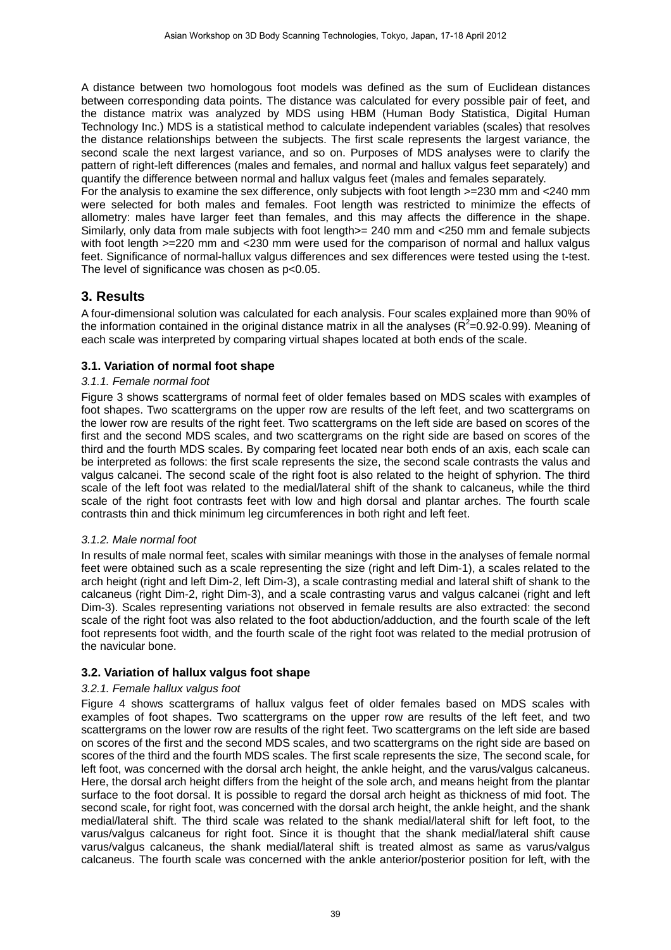A distance between two homologous foot models was defined as the sum of Euclidean distances between corresponding data points. The distance was calculated for every possible pair of feet, and the distance matrix was analyzed by MDS using HBM (Human Body Statistica, Digital Human Technology Inc.) MDS is a statistical method to calculate independent variables (scales) that resolves the distance relationships between the subjects. The first scale represents the largest variance, the second scale the next largest variance, and so on. Purposes of MDS analyses were to clarify the pattern of right-left differences (males and females, and normal and hallux valgus feet separately) and quantify the difference between normal and hallux valgus feet (males and females separately.

For the analysis to examine the sex difference, only subjects with foot length >=230 mm and <240 mm were selected for both males and females. Foot length was restricted to minimize the effects of allometry: males have larger feet than females, and this may affects the difference in the shape. Similarly, only data from male subjects with foot length>= 240 mm and <250 mm and female subjects with foot length  $>=220$  mm and  $<230$  mm were used for the comparison of normal and hallux valgus feet. Significance of normal-hallux valgus differences and sex differences were tested using the t-test. The level of significance was chosen as  $p<0.05$ .

## **3. Results**

A four-dimensional solution was calculated for each analysis. Four scales explained more than 90% of the information contained in the original distance matrix in all the analyses ( $R^2$ =0.92-0.99). Meaning of each scale was interpreted by comparing virtual shapes located at both ends of the scale.

## **3.1. Variation of normal foot shape**

### *3.1.1. Female normal foot*

Figure 3 shows scattergrams of normal feet of older females based on MDS scales with examples of foot shapes. Two scattergrams on the upper row are results of the left feet, and two scattergrams on the lower row are results of the right feet. Two scattergrams on the left side are based on scores of the first and the second MDS scales, and two scattergrams on the right side are based on scores of the third and the fourth MDS scales. By comparing feet located near both ends of an axis, each scale can be interpreted as follows: the first scale represents the size, the second scale contrasts the valus and valgus calcanei. The second scale of the right foot is also related to the height of sphyrion. The third scale of the left foot was related to the medial/lateral shift of the shank to calcaneus, while the third scale of the right foot contrasts feet with low and high dorsal and plantar arches. The fourth scale contrasts thin and thick minimum leg circumferences in both right and left feet.

### *3.1.2. Male normal foot*

In results of male normal feet, scales with similar meanings with those in the analyses of female normal feet were obtained such as a scale representing the size (right and left Dim-1), a scales related to the arch height (right and left Dim-2, left Dim-3), a scale contrasting medial and lateral shift of shank to the calcaneus (right Dim-2, right Dim-3), and a scale contrasting varus and valgus calcanei (right and left Dim-3). Scales representing variations not observed in female results are also extracted: the second scale of the right foot was also related to the foot abduction/adduction, and the fourth scale of the left foot represents foot width, and the fourth scale of the right foot was related to the medial protrusion of the navicular bone.

### **3.2. Variation of hallux valgus foot shape**

### *3.2.1. Female hallux valgus foot*

Figure 4 shows scattergrams of hallux valgus feet of older females based on MDS scales with examples of foot shapes. Two scattergrams on the upper row are results of the left feet, and two scattergrams on the lower row are results of the right feet. Two scattergrams on the left side are based on scores of the first and the second MDS scales, and two scattergrams on the right side are based on scores of the third and the fourth MDS scales. The first scale represents the size, The second scale, for left foot, was concerned with the dorsal arch height, the ankle height, and the varus/valgus calcaneus. Here, the dorsal arch height differs from the height of the sole arch, and means height from the plantar surface to the foot dorsal. It is possible to regard the dorsal arch height as thickness of mid foot. The second scale, for right foot, was concerned with the dorsal arch height, the ankle height, and the shank medial/lateral shift. The third scale was related to the shank medial/lateral shift for left foot, to the varus/valgus calcaneus for right foot. Since it is thought that the shank medial/lateral shift cause varus/valgus calcaneus, the shank medial/lateral shift is treated almost as same as varus/valgus calcaneus. The fourth scale was concerned with the ankle anterior/posterior position for left, with the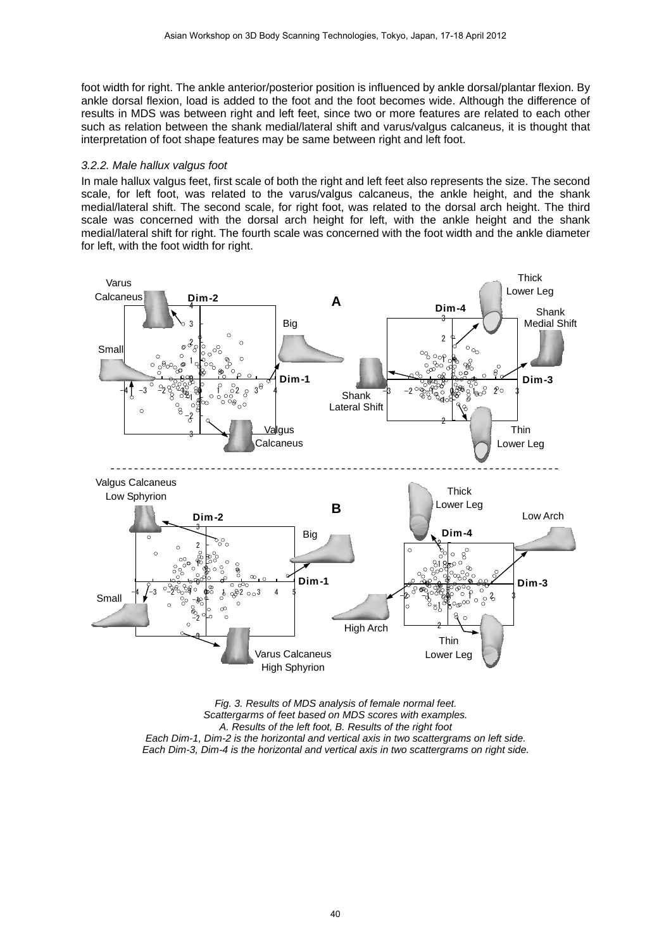foot width for right. The ankle anterior/posterior position is influenced by ankle dorsal/plantar flexion. By ankle dorsal flexion, load is added to the foot and the foot becomes wide. Although the difference of results in MDS was between right and left feet, since two or more features are related to each other such as relation between the shank medial/lateral shift and varus/valgus calcaneus, it is thought that interpretation of foot shape features may be same between right and left foot.

#### *3.2.2. Male hallux valgus foot*

In male hallux valgus feet, first scale of both the right and left feet also represents the size. The second scale, for left foot, was related to the varus/valgus calcaneus, the ankle height, and the shank medial/lateral shift. The second scale, for right foot, was related to the dorsal arch height. The third scale was concerned with the dorsal arch height for left, with the ankle height and the shank medial/lateral shift for right. The fourth scale was concerned with the foot width and the ankle diameter for left, with the foot width for right.



*Fig. 3. Results of MDS analysis of female normal feet. Scattergarms of feet based on MDS scores with examples. A. Results of the left foot, B. Results of the right foot Each Dim-1, Dim-2 is the horizontal and vertical axis in two scattergrams on left side. Each Dim-3, Dim-4 is the horizontal and vertical axis in two scattergrams on right side.*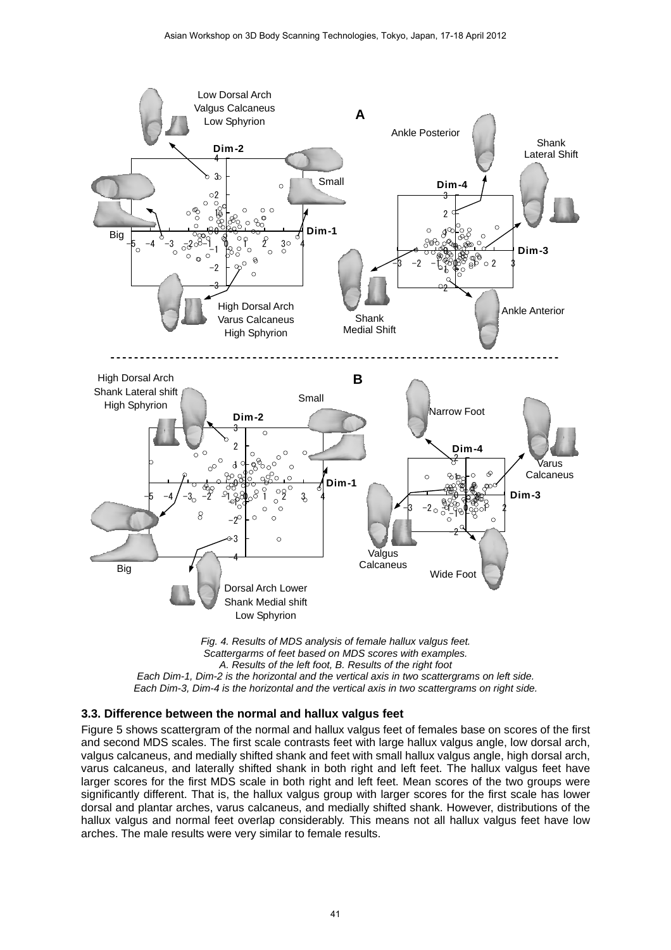

*Fig. 4. Results of MDS analysis of female hallux valgus feet. Scattergarms of feet based on MDS scores with examples. A. Results of the left foot, B. Results of the right foot Each Dim-1, Dim-2 is the horizontal and the vertical axis in two scattergrams on left side. Each Dim-3, Dim-4 is the horizontal and the vertical axis in two scattergrams on right side.* 

### **3.3. Difference between the normal and hallux valgus feet**

Figure 5 shows scattergram of the normal and hallux valgus feet of females base on scores of the first and second MDS scales. The first scale contrasts feet with large hallux valgus angle, low dorsal arch, valgus calcaneus, and medially shifted shank and feet with small hallux valgus angle, high dorsal arch, varus calcaneus, and laterally shifted shank in both right and left feet. The hallux valgus feet have larger scores for the first MDS scale in both right and left feet. Mean scores of the two groups were significantly different. That is, the hallux valgus group with larger scores for the first scale has lower dorsal and plantar arches, varus calcaneus, and medially shifted shank. However, distributions of the hallux valgus and normal feet overlap considerably. This means not all hallux valgus feet have low arches. The male results were very similar to female results.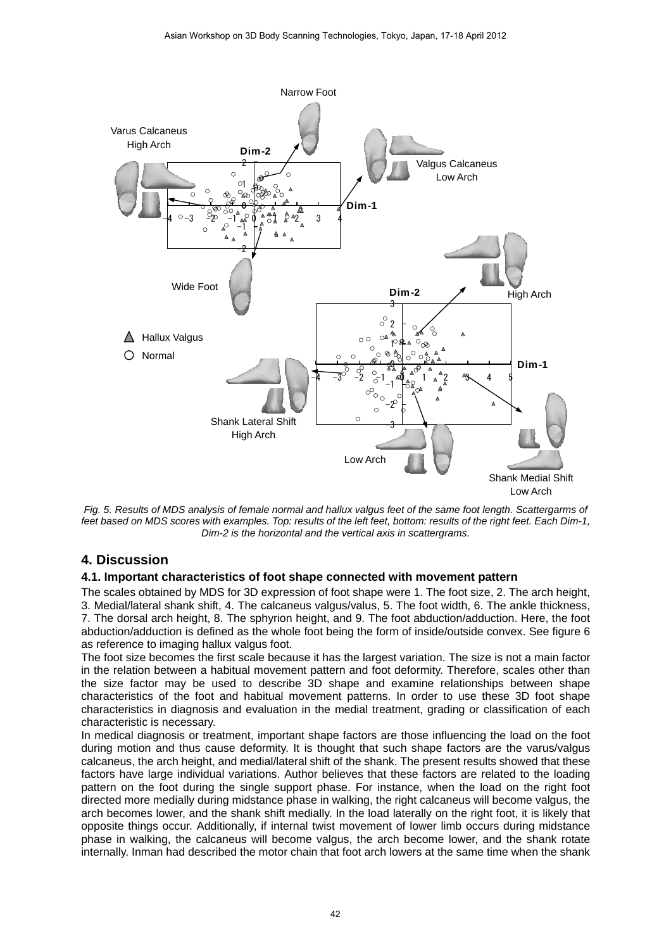

*Fig. 5. Results of MDS analysis of female normal and hallux valgus feet of the same foot length. Scattergarms of feet based on MDS scores with examples. Top: results of the left feet, bottom: results of the right feet. Each Dim-1, Dim-2 is the horizontal and the vertical axis in scattergrams.* 

## **4. Discussion**

### **4.1. Important characteristics of foot shape connected with movement pattern**

The scales obtained by MDS for 3D expression of foot shape were 1. The foot size, 2. The arch height, 3. Medial/lateral shank shift, 4. The calcaneus valgus/valus, 5. The foot width, 6. The ankle thickness, 7. The dorsal arch height, 8. The sphyrion height, and 9. The foot abduction/adduction. Here, the foot abduction/adduction is defined as the whole foot being the form of inside/outside convex. See figure 6 as reference to imaging hallux valgus foot.

The foot size becomes the first scale because it has the largest variation. The size is not a main factor in the relation between a habitual movement pattern and foot deformity. Therefore, scales other than the size factor may be used to describe 3D shape and examine relationships between shape characteristics of the foot and habitual movement patterns. In order to use these 3D foot shape characteristics in diagnosis and evaluation in the medial treatment, grading or classification of each characteristic is necessary.

In medical diagnosis or treatment, important shape factors are those influencing the load on the foot during motion and thus cause deformity. It is thought that such shape factors are the varus/valgus calcaneus, the arch height, and medial/lateral shift of the shank. The present results showed that these factors have large individual variations. Author believes that these factors are related to the loading pattern on the foot during the single support phase. For instance, when the load on the right foot directed more medially during midstance phase in walking, the right calcaneus will become valgus, the arch becomes lower, and the shank shift medially. In the load laterally on the right foot, it is likely that opposite things occur. Additionally, if internal twist movement of lower limb occurs during midstance phase in walking, the calcaneus will become valgus, the arch become lower, and the shank rotate internally. Inman had described the motor chain that foot arch lowers at the same time when the shank